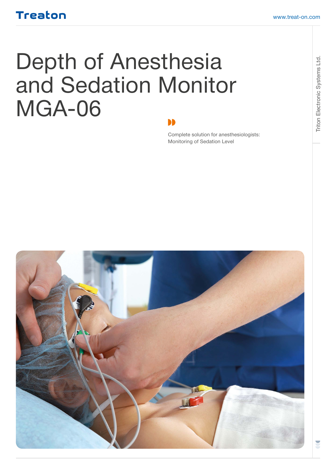# Depth of Anesthesia and Sedation Monitor MGA-06

Complete solution for anesthesiologists: Monitoring of Sedation Level

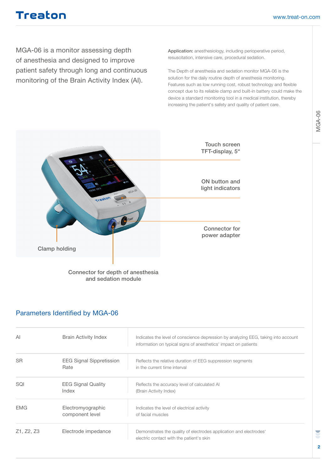MGA-06 is a monitor assessing depth of anesthesia and designed to improve patient safety through long and continuous monitoring of the Brain Activity Index (AI).

Application: anesthesiology, including perioperative period, resuscitation, intensive care, procedural sedation.

The Depth of anesthesia and sedation monitor MGA-06 is the solution for the daily routine depth of anesthesia monitoring. Features such as low running cost, robust technology and flexible concept due to its reliable clamp and built-in battery could make the device a standard monitoring tool in a medical institution, thereby increasing the patient's safety and quality of patient care.



Connector for depth of anesthesia and sedation module

#### Parameters Identified by MGA-06

| ΑI         | <b>Brain Activity Index</b>             | Indicates the level of conscience depression by analyzing EEG, taking into account<br>information on typical signs of anesthetics' impact on patients |
|------------|-----------------------------------------|-------------------------------------------------------------------------------------------------------------------------------------------------------|
| <b>SR</b>  | <b>EEG Signal Sippretission</b><br>Rate | Reflects the relative duration of EEG suppression segments<br>in the current time interval                                                            |
| SQI        | <b>EEG Signal Quality</b><br>Index      | Reflects the accuracy level of calculated AI<br>(Brain Activity Index)                                                                                |
| <b>EMG</b> | Electromyographic<br>component level    | Indicates the level of electrical activity<br>of facial muscles                                                                                       |
| Z1, Z2, Z3 | Electrode impedance                     | Demonstrates the quality of electrodes application and electrodes'<br>electric contact with the patient's skin                                        |

E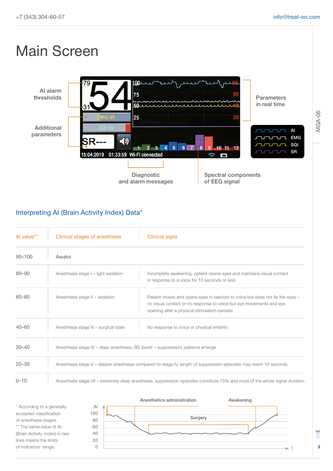## Main Screen



#### Interpreting AI (Brain Activity Index) Data\*

| Al value** | Clinical stages of anesthesia                                                                                               | <b>Clinical signs</b>                                                                                                                                                                                 |
|------------|-----------------------------------------------------------------------------------------------------------------------------|-------------------------------------------------------------------------------------------------------------------------------------------------------------------------------------------------------|
| $90 - 100$ | Awake                                                                                                                       |                                                                                                                                                                                                       |
| $80 - 90$  | Anesthesia stage I - light sedation                                                                                         | Incomplete awakening, patient opens eyes and maintains visual contact<br>in response to a voice for 10 seconds or less                                                                                |
| $60 - 80$  | Anesthesia stage II - sedation                                                                                              | Patient moves and opens eyes in reaction to voice but does not fix the eyes -<br>no visual contact or no response to voice but eye movements and eye<br>opening after a physical stimulation persists |
| $40 - 60$  | Anesthesia stage III - surgical state                                                                                       | No response to voice or physical irritants                                                                                                                                                            |
| $30 - 40$  | Anesthesia stage IV – deep anesthesia, BS (burst – suppression) patterns emerge                                             |                                                                                                                                                                                                       |
| $20 - 30$  | Anesthesia stage V – deeper anesthesia compared to stage IV, length of suppression episodes may reach 10 seconds            |                                                                                                                                                                                                       |
| $0 - 10$   | Anesthesia stage VII – extremely deep anesthesia, suppression episodes constitute 75% and more of the whole signal duration |                                                                                                                                                                                                       |



MGA-06

**3**

U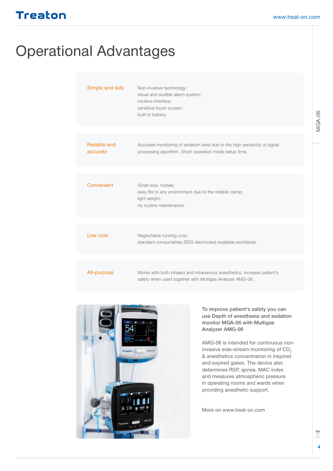## Operational Advantages

| Simple and safe          | Non-invasive technology;<br>visual and audible alarm system;<br>intuitive interface;<br>sensitive touch screen;<br>built-in battery.  |
|--------------------------|---------------------------------------------------------------------------------------------------------------------------------------|
|                          |                                                                                                                                       |
| Reliable and<br>accurate | Accurate monitoring of sedation level due to the high sensitivity of signal<br>processing algorithm. Short operation mode setup time. |
|                          |                                                                                                                                       |
| Convenient               | Small-size, mobile;<br>easy fits to any environment due to the reliable clamp;<br>light weight;<br>no routine maintenance.            |
|                          |                                                                                                                                       |
| Low cost                 | Neglectable running cost;<br>standard consumables (EEG electrodes) available worldwide.                                               |
|                          |                                                                                                                                       |
| All-purpose              | Works with both inhaled and intravenous anesthetics. Increase patient's<br>safety when used together with Multigas Analyzer AMG-06.   |



To improve patient's safety you can use Depth of anesthesia and sedation monitor MGA-06 with Multigas Analyzer AMG-06

AMG-06 is intended for continuous noninvasive side-stream monitoring of CO<sub>2</sub> & anesthetics concentration in inspired and expired gases. The device also determines RSP, apnea, MAC index and measures atmospheric pressure in operating rooms and wards when providing anesthetic support.

More on www.treat-on.com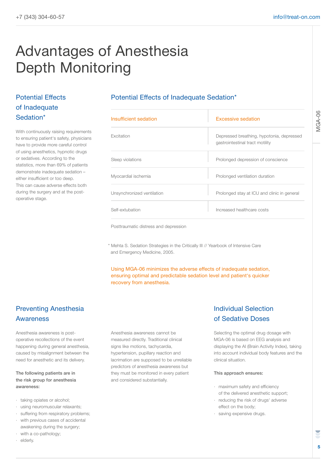## Advantages of Anesthesia Depth Monitoring

#### Potential Effects of Inadequate Sedation\*

With continuously raising requirements to ensuring patient's safety, physicians have to provide more careful control of using anesthetics, hypnotic drugs or sedatives. According to the statistics, more than 69% of patients demonstrate inadequate sedation – either insufficient or too deep. This can cause adverse effects both during the surgery and at the postoperative stage.

#### Potential Effects of Inadequate Sedation\*

| Insufficient sedation      | Excessive sedation                                                           |
|----------------------------|------------------------------------------------------------------------------|
| Excitation                 | Depressed breathing, hypotonia, depressed<br>gastrointestinal tract motility |
| Sleep violations           | Prolonged depression of conscience                                           |
| Myocardial ischemia        | Prolonged ventilation duration                                               |
| Unsynchronized ventilation | Prolonged stay at ICU and clinic in general                                  |
| Self-extubation            | Increased healthcare costs                                                   |

Posttraumatic distress and depression

\* Mehta S. Sedation Strategies in the Critically III // Yearbook of Intensive Care and Emergency Medicine, 2005.

Using MGA-06 minimizes the adverse effects of inadequate sedation, ensuring optimal and predictable sedation level and patient's quicker recovery from anesthesia.

#### Preventing Anesthesia Awareness

Anesthesia awareness is postoperative recollections of the event happening during general anesthesia, caused by misalignment between the need for anesthetic and its delivery.

The following patients are in the risk group for anesthesia awareness:

- · taking opiates or alcohol;
- · using neuromuscular relaxants;
- · suffering from respiratory problems;
- with previous cases of accidental awakening during the surgery;
- with a co-pathology;
- · elderly.

Anesthesia awareness cannot be measured directly. Traditional clinical signs like motions, tachycardia, hypertension, pupillary reaction and lacrimation are supposed to be unreliable predictors of anesthesia awareness but they must be monitored in every patient and considered substantially.

#### Individual Selection of Sedative Doses

Selecting the optimal drug dosage with MGA-06 is based on EEG analysis and displaying the AI (Brain Activity Index), taking into account individual body features and the clinical situation.

#### This approach ensures:

- · maximum safety and efficiency of the delivered anesthetic support;
- · reducing the risk of drugs' adverse effect on the body;
- · saving expensive drugs.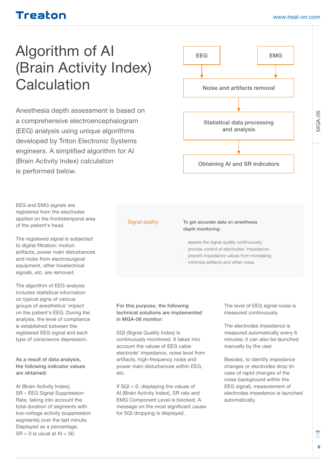## Algorithm of AI (Brain Activity Index) **Calculation**

Anesthesia depth assessment is based on a comprehensive electroencephalogram (EEG) analysis using unique algorithms developed by Triton Electronic Systems engineers. A simplified algorithm for AI (Brain Activity Index) calculation is performed below.

EEG and EMG signals are registered from the electrodes applied on the frontotemporal area of the patient's head.

The registered signal is subjected to digital filtration: motion artifacts, power main disturbances and noise from electrosurgical equipment, other bioelectrical signals, etc. are removed.

The algorithm of EEG analysis includes statistical information on typical signs of various groups of anesthetics' impact on the patient's EEG. During the analysis, the level of compliance is established between the registered EEG signal and each type of conscience depression.

As a result of data analysis, the following indicator values are obtained:

AI (Brain Activity Index); SR – EEG Signal Suppression Rate, taking into account the total duration of segments with low-voltage activity (suppression segments) over the last minute. Displayed as a percentage.  $SR > 0$  is usual at AI < 50.



#### Signal quality

#### To get accurate data on anesthesia depth monitoring:

- · assess the signal quality continuously;
- provide control of electrodes' impedance;
- prevent impedance values from increasing;
- · minimize artifacts and other noise.

#### For this purpose, the following technical solutions are implemented in MGA-06 monitor:

SQI (Signal Quality Index) is continuously monitored. It takes into account the values of EEG cable electrode' impedance, noise level from artifacts, high-frequency noise and power main disturbances within EEG, etc.

If  $SQL = 0$ , displaying the values of AI (Brain Activity Index), SR rate and EMG Component Level is blocked. A message on the most significant cause for SQI dropping is displayed.

The level of EEG signal noise is measured continuously.

The electrodes impedance is measured automatically every 6 minutes; it can also be launched manually by the user.

Besides, to identify impedance changes or electrodes drop (in case of rapid changes of the noise background within the EEG signal), measurement of electrodes impedance is launched automatically.

MGA-06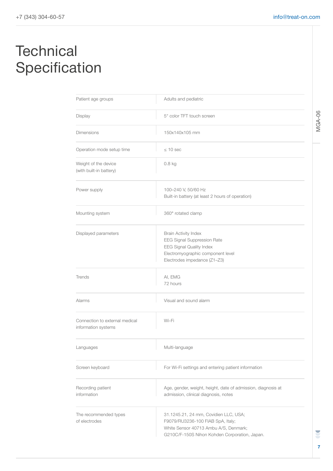## **Technical** Specification

| Patient age groups                                    | Adults and pediatric                                                                                                                                                 |  |
|-------------------------------------------------------|----------------------------------------------------------------------------------------------------------------------------------------------------------------------|--|
| Display                                               | 5" color TFT touch screen                                                                                                                                            |  |
| <b>Dimensions</b>                                     | 150x140x105 mm                                                                                                                                                       |  |
| Operation mode setup time                             | $\leq 10$ sec                                                                                                                                                        |  |
| Weight of the device<br>(with built-in battery)       | $0.8$ kg                                                                                                                                                             |  |
| Power supply                                          | 100-240 V, 50/60 Hz<br>Built-in battery (at least 2 hours of operation)                                                                                              |  |
| Mounting system                                       | 360° rotated clamp                                                                                                                                                   |  |
| Displayed parameters                                  | <b>Brain Activity Index</b><br>EEG Signal Suppression Rate<br><b>EEG Signal Quality Index</b><br>Electromyographic component level<br>Electrodes impedance (Z1-Z3)   |  |
| Trends                                                | AI, EMG<br>72 hours                                                                                                                                                  |  |
| Alarms                                                | Visual and sound alarm                                                                                                                                               |  |
| Connection to external medical<br>information systems | Wi-Fi                                                                                                                                                                |  |
| Languages                                             | Multi-language                                                                                                                                                       |  |
| Screen keyboard                                       | For Wi-Fi settings and entering patient information                                                                                                                  |  |
| Recording patient<br>information                      | Age, gender, weight, height, date of admission, diagnosis at<br>admission, clinical diagnosis, notes                                                                 |  |
| The recommended types<br>of electrodes                | 31.1245.21, 24 mm, Covidien LLC, USA;<br>F9079/RU3236-100 FIAB SpA, Italy;<br>White Sensor 40713 Ambu A/S, Denmark;<br>G210C/F-150S Nihon Kohden Corporation, Japan. |  |